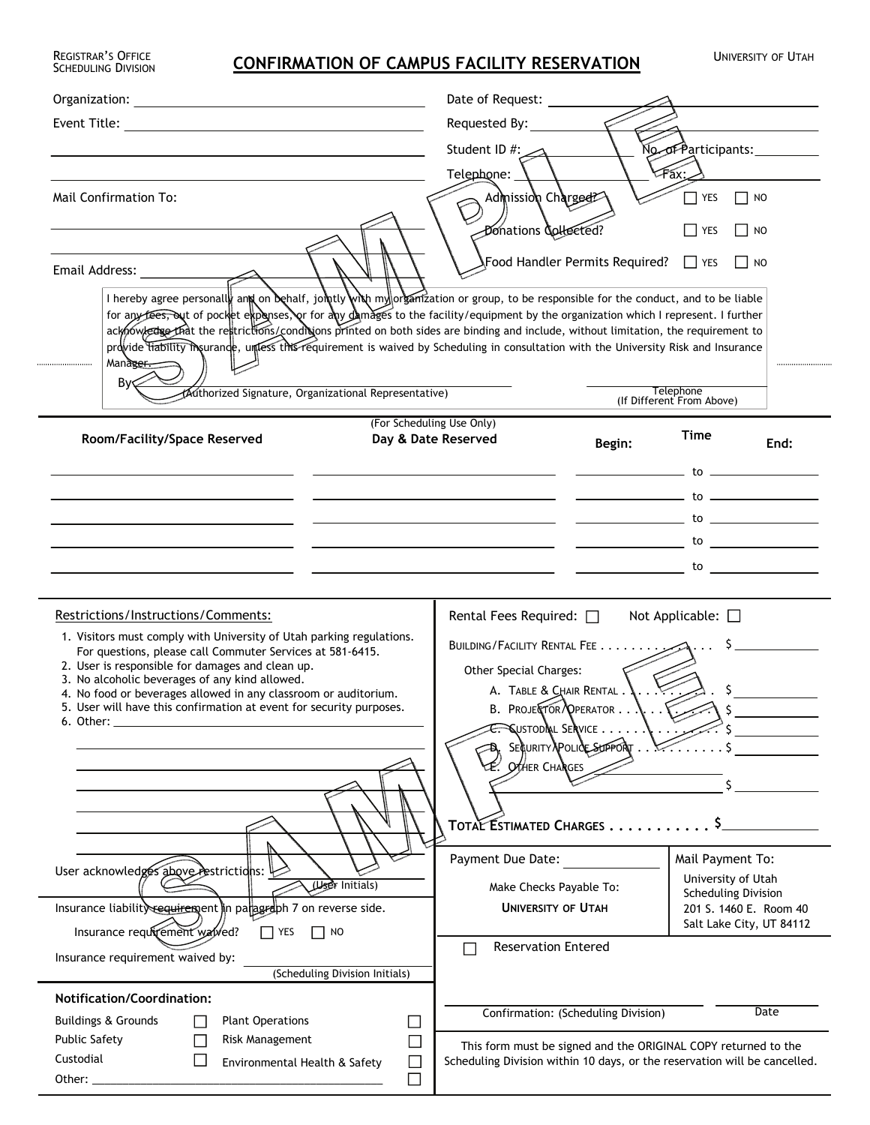## REGISTRAR'S OFFICE **CONFIRMATION OF CAMPUS FACILITY RESERVATION** UNIVERSITY OF UTAH

REGISTRAR'S OFFICE<br>SCHEDULING DIVISION

|                                                                                                                                                                                                                                                                                                                                                                                                                                                                                                                                                                                                         |                                             | Date of Request:                                                                                                                                                                                                                                                                                                                                                                                                                                          |                          |                                                                                                                                            |      |
|---------------------------------------------------------------------------------------------------------------------------------------------------------------------------------------------------------------------------------------------------------------------------------------------------------------------------------------------------------------------------------------------------------------------------------------------------------------------------------------------------------------------------------------------------------------------------------------------------------|---------------------------------------------|-----------------------------------------------------------------------------------------------------------------------------------------------------------------------------------------------------------------------------------------------------------------------------------------------------------------------------------------------------------------------------------------------------------------------------------------------------------|--------------------------|--------------------------------------------------------------------------------------------------------------------------------------------|------|
| Event Title: <u>Alexander Alexander Alexander Alexander Alexander Alexander Alexander Alexander Alexander Alexander Alexander Alexander Alexander Alexander Alexander Alexander Alexander Alexander Alexander Alexander Alexande</u>                                                                                                                                                                                                                                                                                                                                                                    |                                             | Requested By:                                                                                                                                                                                                                                                                                                                                                                                                                                             |                          |                                                                                                                                            |      |
|                                                                                                                                                                                                                                                                                                                                                                                                                                                                                                                                                                                                         |                                             | Student ID #:<br>No of Participants: _________                                                                                                                                                                                                                                                                                                                                                                                                            |                          |                                                                                                                                            |      |
|                                                                                                                                                                                                                                                                                                                                                                                                                                                                                                                                                                                                         |                                             | Fax:_<br>Telephone:                                                                                                                                                                                                                                                                                                                                                                                                                                       |                          |                                                                                                                                            |      |
| Mail Confirmation To:                                                                                                                                                                                                                                                                                                                                                                                                                                                                                                                                                                                   |                                             | Admission Charged?<br>YES<br>NO                                                                                                                                                                                                                                                                                                                                                                                                                           |                          |                                                                                                                                            |      |
|                                                                                                                                                                                                                                                                                                                                                                                                                                                                                                                                                                                                         |                                             | Donations Collected?                                                                                                                                                                                                                                                                                                                                                                                                                                      |                          | <b>YES</b><br>NO                                                                                                                           |      |
|                                                                                                                                                                                                                                                                                                                                                                                                                                                                                                                                                                                                         |                                             |                                                                                                                                                                                                                                                                                                                                                                                                                                                           |                          |                                                                                                                                            |      |
| Email Address: National Address:                                                                                                                                                                                                                                                                                                                                                                                                                                                                                                                                                                        |                                             | √Food Handler Permits Required? □ YES                                                                                                                                                                                                                                                                                                                                                                                                                     |                          | $\overline{\phantom{a}}$ NO                                                                                                                |      |
| I hereby agree personally and on behalf, jointly with my organization or group, to be responsible for the conduct, and to be liable                                                                                                                                                                                                                                                                                                                                                                                                                                                                     |                                             |                                                                                                                                                                                                                                                                                                                                                                                                                                                           |                          |                                                                                                                                            |      |
| for any fees, out of pocket expenses, or for any damages to the facility/equipment by the organization which I represent. I further<br>acknowledue that the restrictions/conditions printed on both sides are binding and include, without limitation, the requirement to                                                                                                                                                                                                                                                                                                                               |                                             |                                                                                                                                                                                                                                                                                                                                                                                                                                                           |                          |                                                                                                                                            |      |
| provide trability mourance, untess this requirement is waived by Scheduling in consultation with the University Risk and Insurance                                                                                                                                                                                                                                                                                                                                                                                                                                                                      |                                             |                                                                                                                                                                                                                                                                                                                                                                                                                                                           |                          |                                                                                                                                            |      |
| Mana <del>ger.</del>                                                                                                                                                                                                                                                                                                                                                                                                                                                                                                                                                                                    |                                             |                                                                                                                                                                                                                                                                                                                                                                                                                                                           |                          |                                                                                                                                            |      |
| By<<br>Authorized Signature, Organizational Representative)                                                                                                                                                                                                                                                                                                                                                                                                                                                                                                                                             | Telephone<br>(If Different From Above)      |                                                                                                                                                                                                                                                                                                                                                                                                                                                           |                          |                                                                                                                                            |      |
|                                                                                                                                                                                                                                                                                                                                                                                                                                                                                                                                                                                                         | (For Scheduling Use Only)                   |                                                                                                                                                                                                                                                                                                                                                                                                                                                           |                          |                                                                                                                                            |      |
| Room/Facility/Space Reserved                                                                                                                                                                                                                                                                                                                                                                                                                                                                                                                                                                            |                                             | Day & Date Reserved                                                                                                                                                                                                                                                                                                                                                                                                                                       | Begin:                   | Time                                                                                                                                       | End: |
|                                                                                                                                                                                                                                                                                                                                                                                                                                                                                                                                                                                                         |                                             |                                                                                                                                                                                                                                                                                                                                                                                                                                                           |                          | $\overline{a}$ to $\overline{a}$                                                                                                           |      |
|                                                                                                                                                                                                                                                                                                                                                                                                                                                                                                                                                                                                         |                                             |                                                                                                                                                                                                                                                                                                                                                                                                                                                           |                          |                                                                                                                                            |      |
|                                                                                                                                                                                                                                                                                                                                                                                                                                                                                                                                                                                                         |                                             |                                                                                                                                                                                                                                                                                                                                                                                                                                                           |                          |                                                                                                                                            |      |
|                                                                                                                                                                                                                                                                                                                                                                                                                                                                                                                                                                                                         |                                             | $\frac{1}{\sqrt{1-\frac{1}{2}}}\qquad \frac{1}{\sqrt{1-\frac{1}{2}}}\qquad \qquad \frac{1}{\sqrt{1-\frac{1}{2}}}\qquad \qquad \frac{1}{\sqrt{1-\frac{1}{2}}}\qquad \qquad \frac{1}{\sqrt{1-\frac{1}{2}}}\qquad \qquad \frac{1}{\sqrt{1-\frac{1}{2}}}\qquad \qquad \frac{1}{\sqrt{1-\frac{1}{2}}}\qquad \qquad \frac{1}{\sqrt{1-\frac{1}{2}}}\qquad \qquad \frac{1}{\sqrt{1-\frac{1}{2}}}\qquad \qquad \frac{1}{\sqrt{1-\frac{1}{2}}}\qquad \qquad \frac{$ |                          |                                                                                                                                            |      |
|                                                                                                                                                                                                                                                                                                                                                                                                                                                                                                                                                                                                         |                                             | $\overline{\phantom{a}}$ to the contract of $\overline{\phantom{a}}$ . The contract of $\overline{\phantom{a}}$ to the contract of $\overline{\phantom{a}}$                                                                                                                                                                                                                                                                                               |                          |                                                                                                                                            |      |
|                                                                                                                                                                                                                                                                                                                                                                                                                                                                                                                                                                                                         |                                             |                                                                                                                                                                                                                                                                                                                                                                                                                                                           |                          |                                                                                                                                            |      |
| 1. Visitors must comply with University of Utah parking regulations.<br>For questions, please call Commuter Services at 581-6415.<br>2. User is responsible for damages and clean up.<br>3. No alcoholic beverages of any kind allowed.<br>4. No food or beverages allowed in any classroom or auditorium.<br>5. User will have this confirmation at event for security purposes.<br>6. Other:<br>User acknowledges above restrictions:<br><b>When</b> Initials)<br>Insurance liability requirement in paragraph 7 on reverse side.<br>Insurance requirement wawed?<br><b>TYES</b><br>$\blacksquare$ NO |                                             | BUILDING/FACILITY RENTAL FEE<br>Other Special Charges:<br>A. TABLE & CHAIR RENTAL.<br>B. PROJECTOR PPERATOR<br><b>SUSTODIAL SERVICE</b><br>E. Other Changes<br>TOTAL ESTIMATED CHARGES<br>Payment Due Date:<br>Make Checks Payable To:<br><b>UNIVERSITY OF UTAH</b>                                                                                                                                                                                       | SEQURITY POLICE SUPPORT. | <del>.</del><br>Mail Payment To:<br>University of Utah<br><b>Scheduling Division</b><br>201 S. 1460 E. Room 40<br>Salt Lake City, UT 84112 |      |
|                                                                                                                                                                                                                                                                                                                                                                                                                                                                                                                                                                                                         |                                             | <b>Reservation Entered</b>                                                                                                                                                                                                                                                                                                                                                                                                                                |                          |                                                                                                                                            |      |
| Insurance requirement waived by:<br>(Scheduling Division Initials)                                                                                                                                                                                                                                                                                                                                                                                                                                                                                                                                      |                                             |                                                                                                                                                                                                                                                                                                                                                                                                                                                           |                          |                                                                                                                                            |      |
| <b>Notification/Coordination:</b>                                                                                                                                                                                                                                                                                                                                                                                                                                                                                                                                                                       |                                             |                                                                                                                                                                                                                                                                                                                                                                                                                                                           |                          |                                                                                                                                            |      |
| <b>Buildings &amp; Grounds</b><br><b>Plant Operations</b>                                                                                                                                                                                                                                                                                                                                                                                                                                                                                                                                               | Date<br>Confirmation: (Scheduling Division) |                                                                                                                                                                                                                                                                                                                                                                                                                                                           |                          |                                                                                                                                            |      |
| <b>Public Safety</b><br>Risk Management                                                                                                                                                                                                                                                                                                                                                                                                                                                                                                                                                                 |                                             | This form must be signed and the ORIGINAL COPY returned to the                                                                                                                                                                                                                                                                                                                                                                                            |                          |                                                                                                                                            |      |
| Custodial<br>$\Box$<br>Environmental Health & Safety                                                                                                                                                                                                                                                                                                                                                                                                                                                                                                                                                    |                                             | Scheduling Division within 10 days, or the reservation will be cancelled.                                                                                                                                                                                                                                                                                                                                                                                 |                          |                                                                                                                                            |      |
| Other: $\_\_$                                                                                                                                                                                                                                                                                                                                                                                                                                                                                                                                                                                           |                                             |                                                                                                                                                                                                                                                                                                                                                                                                                                                           |                          |                                                                                                                                            |      |